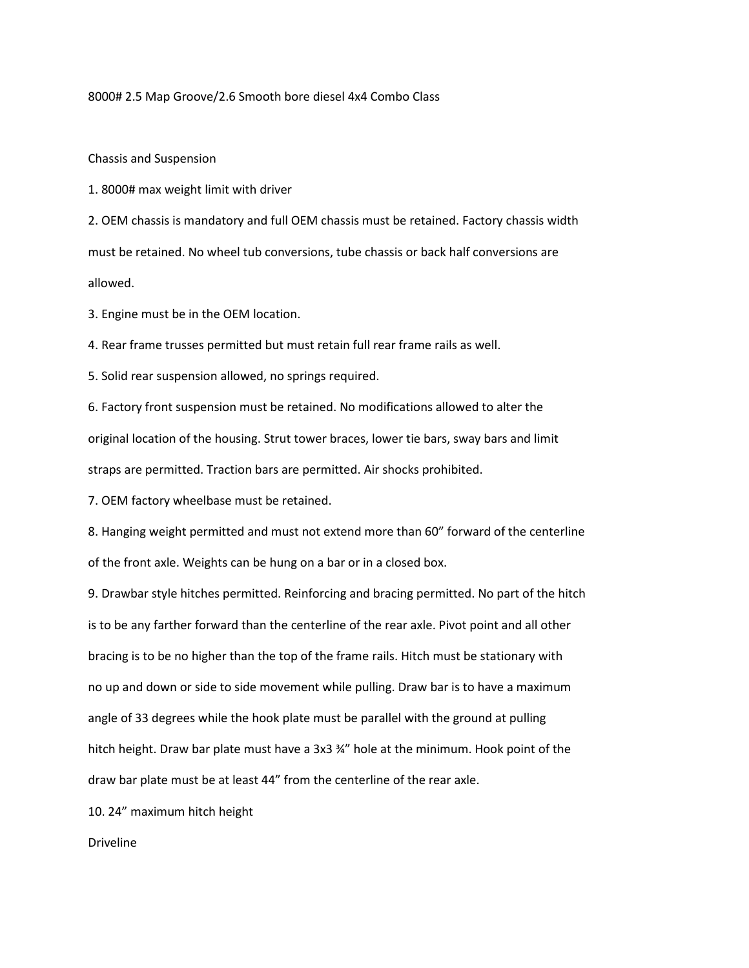8000# 2.5 Map Groove/2.6 Smooth bore diesel 4x4 Combo Class

Chassis and Suspension

1. 8000# max weight limit with driver

2. OEM chassis is mandatory and full OEM chassis must be retained. Factory chassis width must be retained. No wheel tub conversions, tube chassis or back half conversions are allowed.

3. Engine must be in the OEM location.

4. Rear frame trusses permitted but must retain full rear frame rails as well.

5. Solid rear suspension allowed, no springs required.

6. Factory front suspension must be retained. No modifications allowed to alter the original location of the housing. Strut tower braces, lower tie bars, sway bars and limit straps are permitted. Traction bars are permitted. Air shocks prohibited.

7. OEM factory wheelbase must be retained.

8. Hanging weight permitted and must not extend more than 60" forward of the centerline of the front axle. Weights can be hung on a bar or in a closed box.

9. Drawbar style hitches permitted. Reinforcing and bracing permitted. No part of the hitch is to be any farther forward than the centerline of the rear axle. Pivot point and all other bracing is to be no higher than the top of the frame rails. Hitch must be stationary with no up and down or side to side movement while pulling. Draw bar is to have a maximum angle of 33 degrees while the hook plate must be parallel with the ground at pulling hitch height. Draw bar plate must have a 3x3 ¾" hole at the minimum. Hook point of the draw bar plate must be at least 44" from the centerline of the rear axle.

10. 24" maximum hitch height

Driveline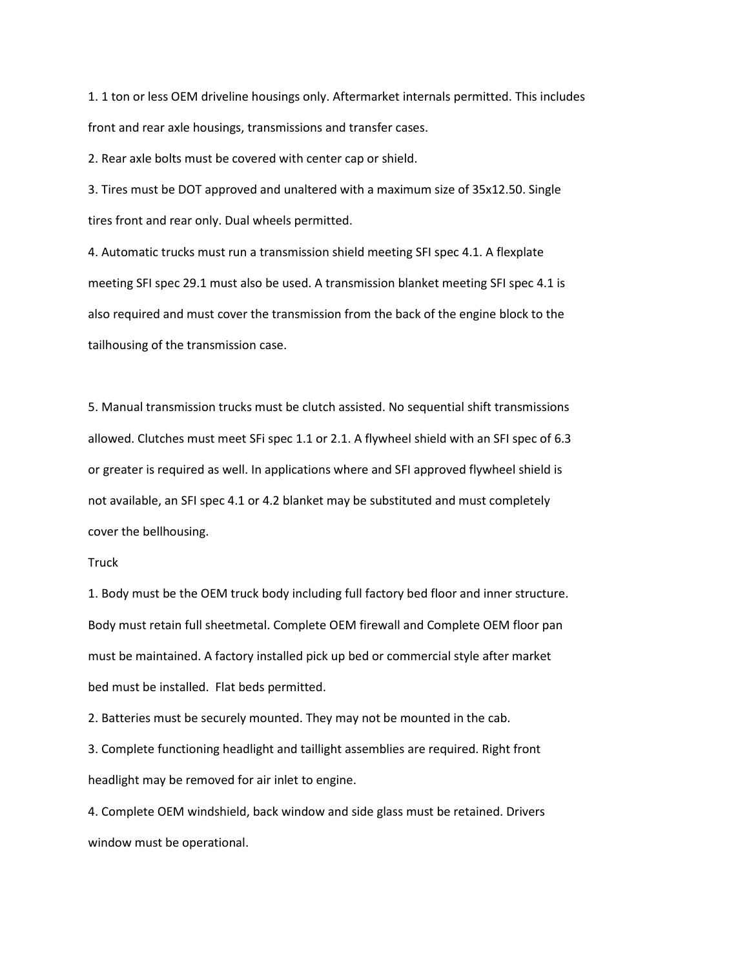1. 1 ton or less OEM driveline housings only. Aftermarket internals permitted. This includes front and rear axle housings, transmissions and transfer cases.

2. Rear axle bolts must be covered with center cap or shield.

3. Tires must be DOT approved and unaltered with a maximum size of 35x12.50. Single tires front and rear only. Dual wheels permitted.

4. Automatic trucks must run a transmission shield meeting SFI spec 4.1. A flexplate meeting SFI spec 29.1 must also be used. A transmission blanket meeting SFI spec 4.1 is also required and must cover the transmission from the back of the engine block to the tailhousing of the transmission case.

5. Manual transmission trucks must be clutch assisted. No sequential shift transmissions allowed. Clutches must meet SFi spec 1.1 or 2.1. A flywheel shield with an SFI spec of 6.3 or greater is required as well. In applications where and SFI approved flywheel shield is not available, an SFI spec 4.1 or 4.2 blanket may be substituted and must completely cover the bellhousing.

## Truck

1. Body must be the OEM truck body including full factory bed floor and inner structure. Body must retain full sheetmetal. Complete OEM firewall and Complete OEM floor pan must be maintained. A factory installed pick up bed or commercial style after market bed must be installed. Flat beds permitted.

2. Batteries must be securely mounted. They may not be mounted in the cab.

3. Complete functioning headlight and taillight assemblies are required. Right front headlight may be removed for air inlet to engine.

4. Complete OEM windshield, back window and side glass must be retained. Drivers window must be operational.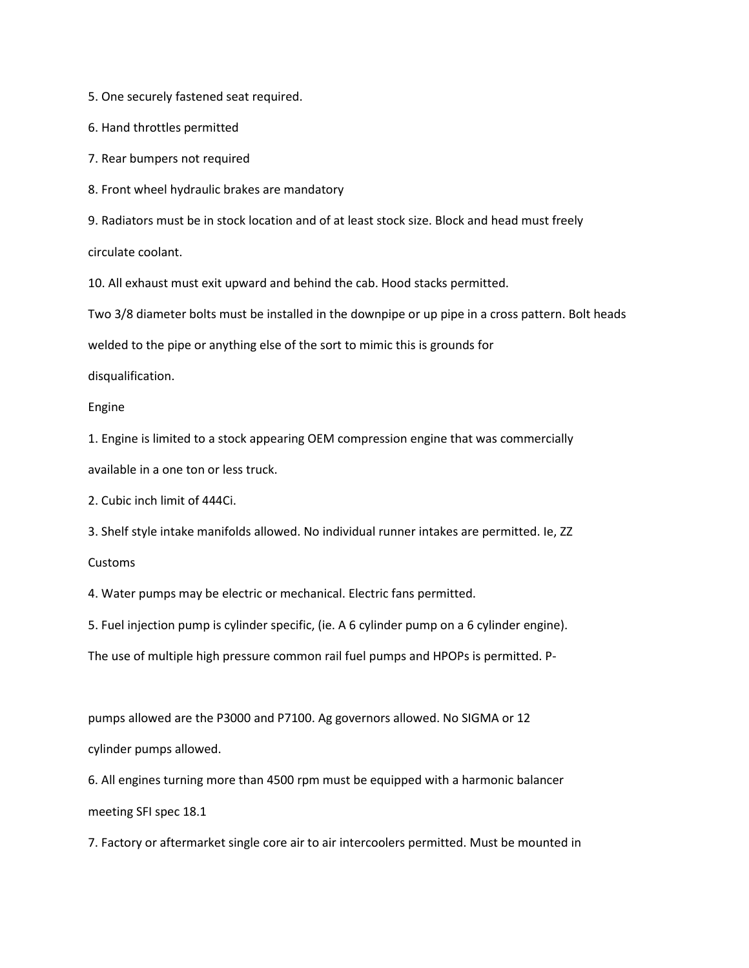5. One securely fastened seat required.

6. Hand throttles permitted

7. Rear bumpers not required

8. Front wheel hydraulic brakes are mandatory

9. Radiators must be in stock location and of at least stock size. Block and head must freely circulate coolant.

10. All exhaust must exit upward and behind the cab. Hood stacks permitted.

Two 3/8 diameter bolts must be installed in the downpipe or up pipe in a cross pattern. Bolt heads

welded to the pipe or anything else of the sort to mimic this is grounds for

disqualification.

Engine

1. Engine is limited to a stock appearing OEM compression engine that was commercially available in a one ton or less truck.

2. Cubic inch limit of 444Ci.

3. Shelf style intake manifolds allowed. No individual runner intakes are permitted. Ie, ZZ

Customs

4. Water pumps may be electric or mechanical. Electric fans permitted.

5. Fuel injection pump is cylinder specific, (ie. A 6 cylinder pump on a 6 cylinder engine).

The use of multiple high pressure common rail fuel pumps and HPOPs is permitted. P-

pumps allowed are the P3000 and P7100. Ag governors allowed. No SIGMA or 12 cylinder pumps allowed.

6. All engines turning more than 4500 rpm must be equipped with a harmonic balancer meeting SFI spec 18.1

7. Factory or aftermarket single core air to air intercoolers permitted. Must be mounted in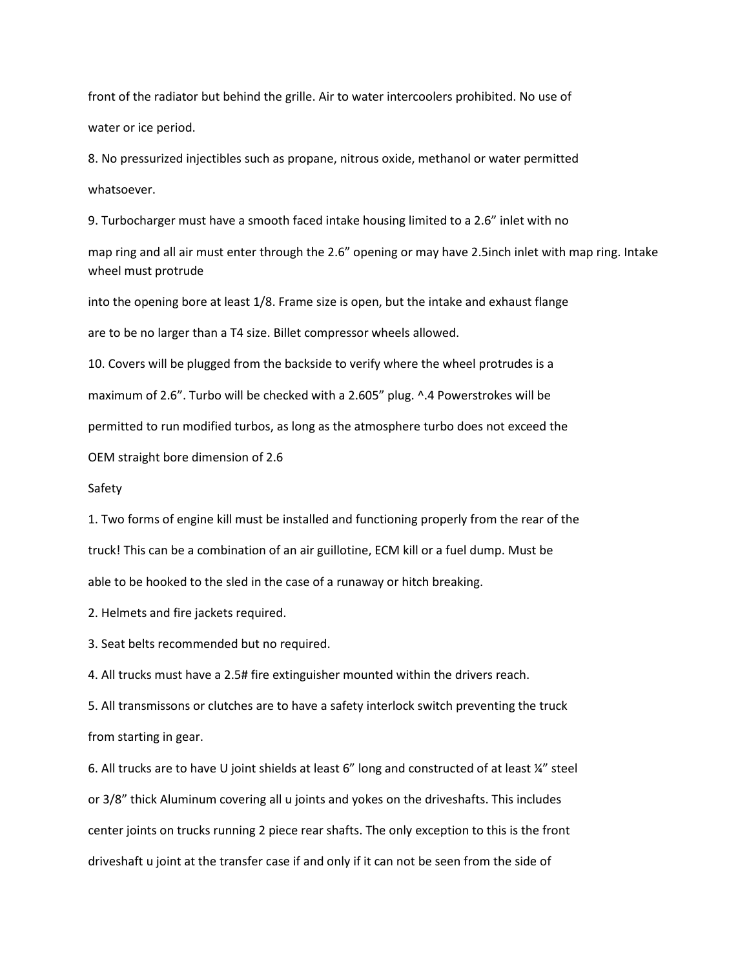front of the radiator but behind the grille. Air to water intercoolers prohibited. No use of water or ice period.

8. No pressurized injectibles such as propane, nitrous oxide, methanol or water permitted whatsoever.

9. Turbocharger must have a smooth faced intake housing limited to a 2.6" inlet with no

map ring and all air must enter through the 2.6" opening or may have 2.5inch inlet with map ring. Intake wheel must protrude

into the opening bore at least 1/8. Frame size is open, but the intake and exhaust flange are to be no larger than a T4 size. Billet compressor wheels allowed.

10. Covers will be plugged from the backside to verify where the wheel protrudes is a maximum of 2.6". Turbo will be checked with a 2.605" plug. ^.4 Powerstrokes will be permitted to run modified turbos, as long as the atmosphere turbo does not exceed the

OEM straight bore dimension of 2.6

## Safety

1. Two forms of engine kill must be installed and functioning properly from the rear of the truck! This can be a combination of an air guillotine, ECM kill or a fuel dump. Must be able to be hooked to the sled in the case of a runaway or hitch breaking.

2. Helmets and fire jackets required.

3. Seat belts recommended but no required.

4. All trucks must have a 2.5# fire extinguisher mounted within the drivers reach.

5. All transmissons or clutches are to have a safety interlock switch preventing the truck from starting in gear.

6. All trucks are to have U joint shields at least 6" long and constructed of at least ¼" steel or 3/8" thick Aluminum covering all u joints and yokes on the driveshafts. This includes center joints on trucks running 2 piece rear shafts. The only exception to this is the front driveshaft u joint at the transfer case if and only if it can not be seen from the side of